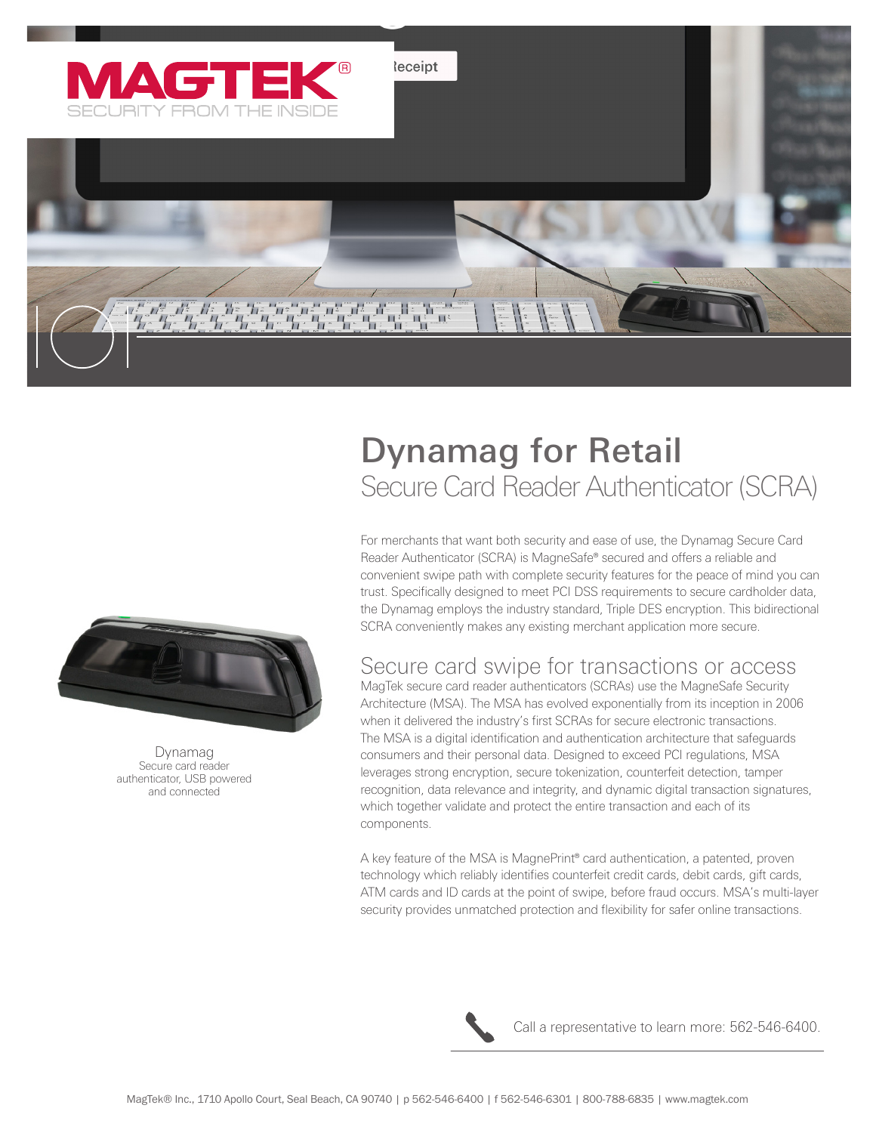

# Dynamag for Retail Secure Card Reader Authenticator (SCRA)

For merchants that want both security and ease of use, the Dynamag Secure Card Reader Authenticator (SCRA) is MagneSafe® secured and offers a reliable and convenient swipe path with complete security features for the peace of mind you can trust. Specifically designed to meet PCI DSS requirements to secure cardholder data, the Dynamag employs the industry standard, Triple DES encryption. This bidirectional SCRA conveniently makes any existing merchant application more secure.

#### Secure card swipe for transactions or access

MagTek secure card reader authenticators (SCRAs) use the MagneSafe Security Architecture (MSA). The MSA has evolved exponentially from its inception in 2006 when it delivered the industry's first SCRAs for secure electronic transactions. The MSA is a digital identification and authentication architecture that safeguards consumers and their personal data. Designed to exceed PCI regulations, MSA leverages strong encryption, secure tokenization, counterfeit detection, tamper recognition, data relevance and integrity, and dynamic digital transaction signatures, which together validate and protect the entire transaction and each of its components.

A key feature of the MSA is MagnePrint® card authentication, a patented, proven technology which reliably identifies counterfeit credit cards, debit cards, gift cards, ATM cards and ID cards at the point of swipe, before fraud occurs. MSA's multi-layer security provides unmatched protection and flexibility for safer online transactions.



Call a representative to learn more: 562-546-6400.



Dynamag Secure card reader authenticator, USB powered and connected